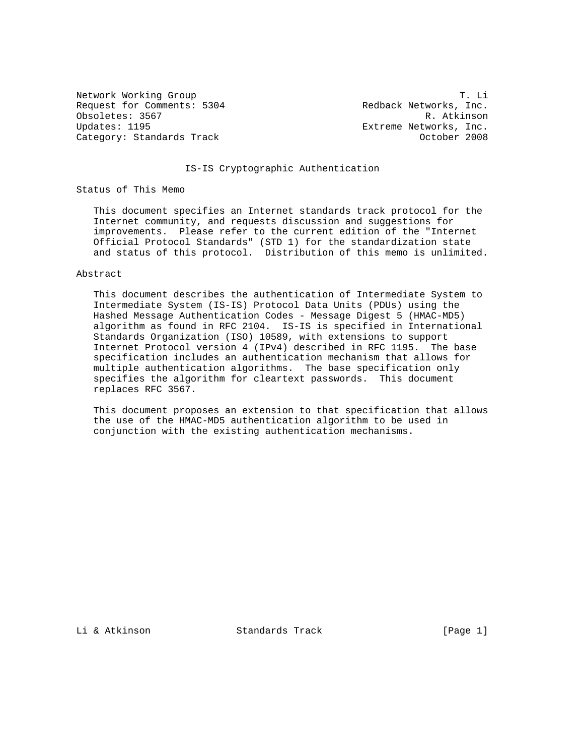Request for Comments: 5304 Redback Networks, Inc. Obsoletes: 3567 R. Atkinson Updates: 1195 Extreme Networks, Inc. Category: Standards Track Category: Standards Track Category: October 2008

Network Working Group T. Li

## IS-IS Cryptographic Authentication

Status of This Memo

 This document specifies an Internet standards track protocol for the Internet community, and requests discussion and suggestions for improvements. Please refer to the current edition of the "Internet Official Protocol Standards" (STD 1) for the standardization state and status of this protocol. Distribution of this memo is unlimited.

#### Abstract

 This document describes the authentication of Intermediate System to Intermediate System (IS-IS) Protocol Data Units (PDUs) using the Hashed Message Authentication Codes - Message Digest 5 (HMAC-MD5) algorithm as found in RFC 2104. IS-IS is specified in International Standards Organization (ISO) 10589, with extensions to support Internet Protocol version 4 (IPv4) described in RFC 1195. The base specification includes an authentication mechanism that allows for multiple authentication algorithms. The base specification only specifies the algorithm for cleartext passwords. This document replaces RFC 3567.

 This document proposes an extension to that specification that allows the use of the HMAC-MD5 authentication algorithm to be used in conjunction with the existing authentication mechanisms.

Li & Atkinson Standards Track [Page 1]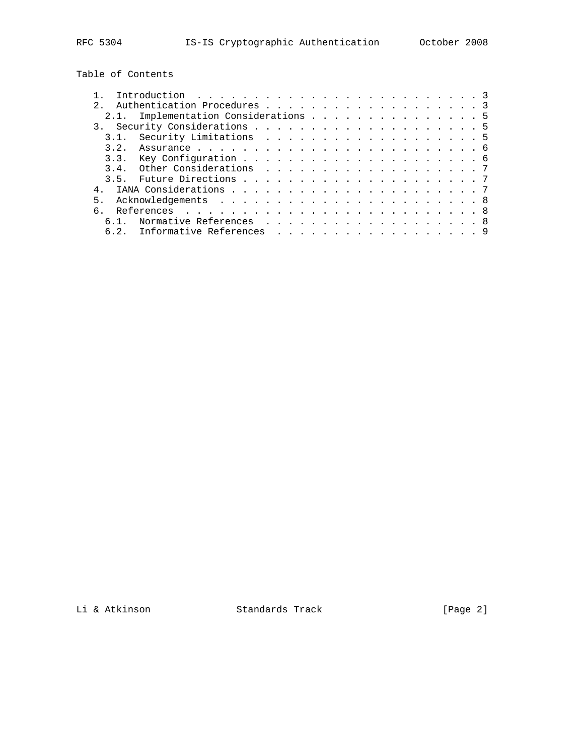Table of Contents

|    | Introduction $\ldots \ldots \ldots \ldots \ldots \ldots \ldots \ldots \ldots$ |  |  |  |  |  |
|----|-------------------------------------------------------------------------------|--|--|--|--|--|
|    | Authentication Procedures 3                                                   |  |  |  |  |  |
|    | 2.1. Implementation Considerations 5                                          |  |  |  |  |  |
|    |                                                                               |  |  |  |  |  |
|    |                                                                               |  |  |  |  |  |
|    |                                                                               |  |  |  |  |  |
|    |                                                                               |  |  |  |  |  |
|    |                                                                               |  |  |  |  |  |
|    |                                                                               |  |  |  |  |  |
|    |                                                                               |  |  |  |  |  |
| 5. |                                                                               |  |  |  |  |  |
|    |                                                                               |  |  |  |  |  |
|    | 6.1. Normative References 8                                                   |  |  |  |  |  |
|    | 6.2. Informative References 9                                                 |  |  |  |  |  |

Li & Atkinson Standards Track [Page 2]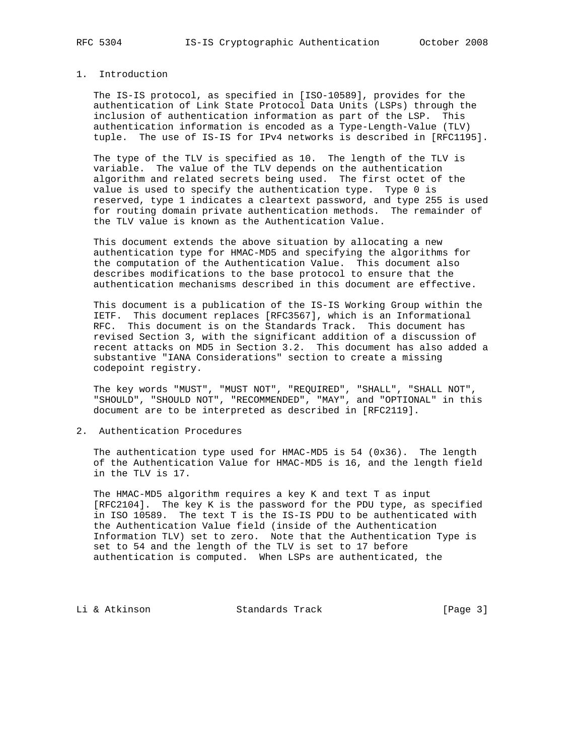## 1. Introduction

 The IS-IS protocol, as specified in [ISO-10589], provides for the authentication of Link State Protocol Data Units (LSPs) through the inclusion of authentication information as part of the LSP. This authentication information is encoded as a Type-Length-Value (TLV) tuple. The use of IS-IS for IPv4 networks is described in [RFC1195].

 The type of the TLV is specified as 10. The length of the TLV is variable. The value of the TLV depends on the authentication algorithm and related secrets being used. The first octet of the value is used to specify the authentication type. Type 0 is reserved, type 1 indicates a cleartext password, and type 255 is used for routing domain private authentication methods. The remainder of the TLV value is known as the Authentication Value.

 This document extends the above situation by allocating a new authentication type for HMAC-MD5 and specifying the algorithms for the computation of the Authentication Value. This document also describes modifications to the base protocol to ensure that the authentication mechanisms described in this document are effective.

 This document is a publication of the IS-IS Working Group within the IETF. This document replaces [RFC3567], which is an Informational RFC. This document is on the Standards Track. This document has revised Section 3, with the significant addition of a discussion of recent attacks on MD5 in Section 3.2. This document has also added a substantive "IANA Considerations" section to create a missing codepoint registry.

 The key words "MUST", "MUST NOT", "REQUIRED", "SHALL", "SHALL NOT", "SHOULD", "SHOULD NOT", "RECOMMENDED", "MAY", and "OPTIONAL" in this document are to be interpreted as described in [RFC2119].

2. Authentication Procedures

 The authentication type used for HMAC-MD5 is 54 (0x36). The length of the Authentication Value for HMAC-MD5 is 16, and the length field in the TLV is 17.

 The HMAC-MD5 algorithm requires a key K and text T as input [RFC2104]. The key K is the password for the PDU type, as specified in ISO 10589. The text T is the IS-IS PDU to be authenticated with the Authentication Value field (inside of the Authentication Information TLV) set to zero. Note that the Authentication Type is set to 54 and the length of the TLV is set to 17 before authentication is computed. When LSPs are authenticated, the

Li & Atkinson Standards Track [Page 3]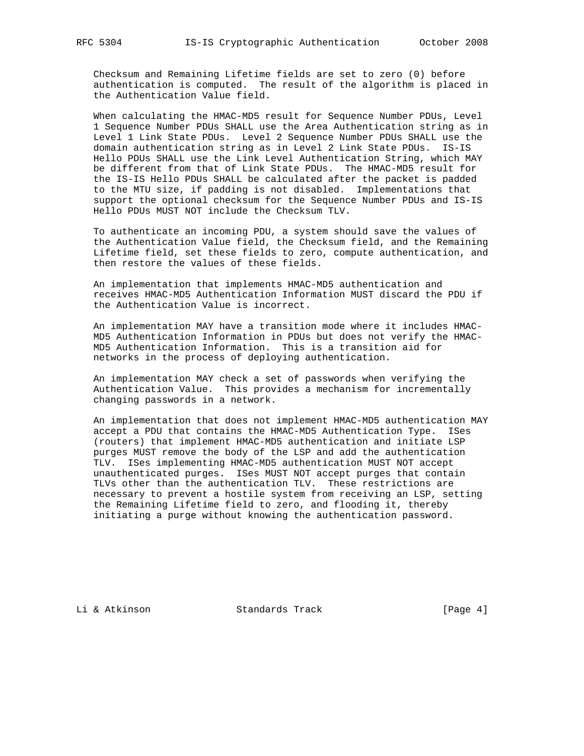Checksum and Remaining Lifetime fields are set to zero (0) before authentication is computed. The result of the algorithm is placed in the Authentication Value field.

 When calculating the HMAC-MD5 result for Sequence Number PDUs, Level 1 Sequence Number PDUs SHALL use the Area Authentication string as in Level 1 Link State PDUs. Level 2 Sequence Number PDUs SHALL use the domain authentication string as in Level 2 Link State PDUs. IS-IS Hello PDUs SHALL use the Link Level Authentication String, which MAY be different from that of Link State PDUs. The HMAC-MD5 result for the IS-IS Hello PDUs SHALL be calculated after the packet is padded to the MTU size, if padding is not disabled. Implementations that support the optional checksum for the Sequence Number PDUs and IS-IS Hello PDUs MUST NOT include the Checksum TLV.

 To authenticate an incoming PDU, a system should save the values of the Authentication Value field, the Checksum field, and the Remaining Lifetime field, set these fields to zero, compute authentication, and then restore the values of these fields.

 An implementation that implements HMAC-MD5 authentication and receives HMAC-MD5 Authentication Information MUST discard the PDU if the Authentication Value is incorrect.

 An implementation MAY have a transition mode where it includes HMAC- MD5 Authentication Information in PDUs but does not verify the HMAC- MD5 Authentication Information. This is a transition aid for networks in the process of deploying authentication.

 An implementation MAY check a set of passwords when verifying the Authentication Value. This provides a mechanism for incrementally changing passwords in a network.

 An implementation that does not implement HMAC-MD5 authentication MAY accept a PDU that contains the HMAC-MD5 Authentication Type. ISes (routers) that implement HMAC-MD5 authentication and initiate LSP purges MUST remove the body of the LSP and add the authentication TLV. ISes implementing HMAC-MD5 authentication MUST NOT accept unauthenticated purges. ISes MUST NOT accept purges that contain TLVs other than the authentication TLV. These restrictions are necessary to prevent a hostile system from receiving an LSP, setting the Remaining Lifetime field to zero, and flooding it, thereby initiating a purge without knowing the authentication password.

Li & Atkinson Standards Track [Page 4]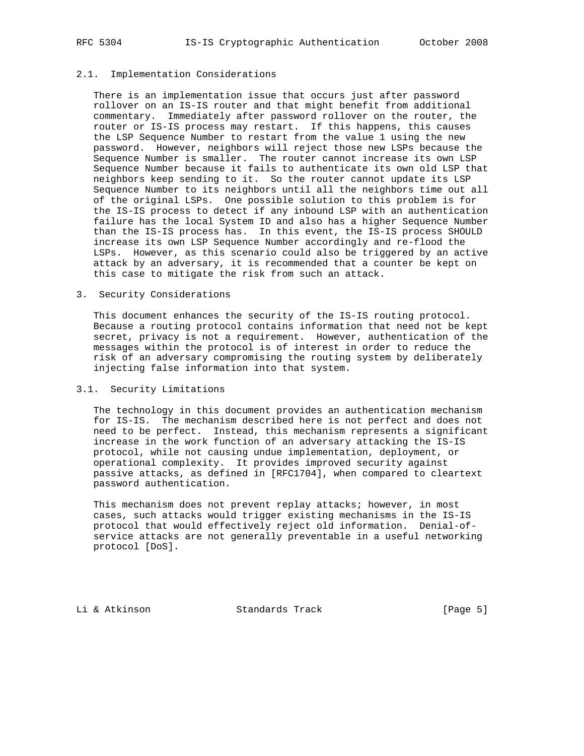### 2.1. Implementation Considerations

 There is an implementation issue that occurs just after password rollover on an IS-IS router and that might benefit from additional commentary. Immediately after password rollover on the router, the router or IS-IS process may restart. If this happens, this causes the LSP Sequence Number to restart from the value 1 using the new password. However, neighbors will reject those new LSPs because the Sequence Number is smaller. The router cannot increase its own LSP Sequence Number because it fails to authenticate its own old LSP that neighbors keep sending to it. So the router cannot update its LSP Sequence Number to its neighbors until all the neighbors time out all of the original LSPs. One possible solution to this problem is for the IS-IS process to detect if any inbound LSP with an authentication failure has the local System ID and also has a higher Sequence Number than the IS-IS process has. In this event, the IS-IS process SHOULD increase its own LSP Sequence Number accordingly and re-flood the LSPs. However, as this scenario could also be triggered by an active attack by an adversary, it is recommended that a counter be kept on this case to mitigate the risk from such an attack.

## 3. Security Considerations

 This document enhances the security of the IS-IS routing protocol. Because a routing protocol contains information that need not be kept secret, privacy is not a requirement. However, authentication of the messages within the protocol is of interest in order to reduce the risk of an adversary compromising the routing system by deliberately injecting false information into that system.

## 3.1. Security Limitations

 The technology in this document provides an authentication mechanism for IS-IS. The mechanism described here is not perfect and does not need to be perfect. Instead, this mechanism represents a significant increase in the work function of an adversary attacking the IS-IS protocol, while not causing undue implementation, deployment, or operational complexity. It provides improved security against passive attacks, as defined in [RFC1704], when compared to cleartext password authentication.

This mechanism does not prevent replay attacks; however, in most cases, such attacks would trigger existing mechanisms in the IS-IS protocol that would effectively reject old information. Denial-of service attacks are not generally preventable in a useful networking protocol [DoS].

Li & Atkinson Standards Track [Page 5]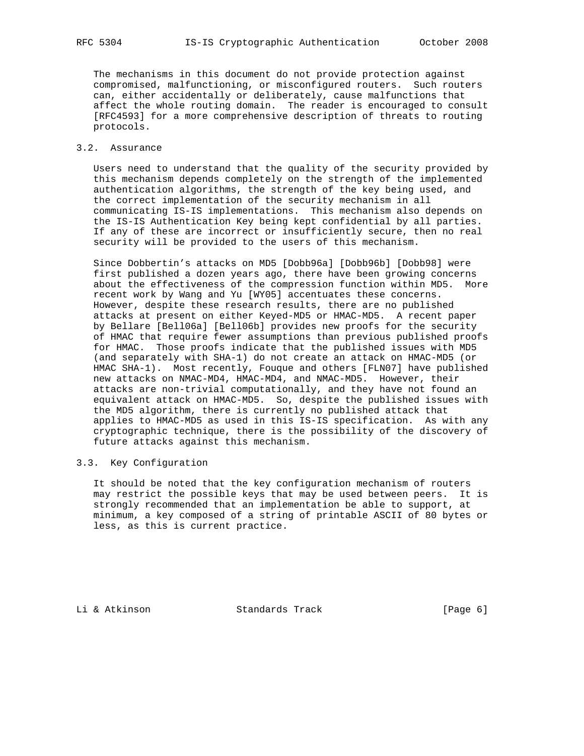The mechanisms in this document do not provide protection against compromised, malfunctioning, or misconfigured routers. Such routers can, either accidentally or deliberately, cause malfunctions that affect the whole routing domain. The reader is encouraged to consult [RFC4593] for a more comprehensive description of threats to routing protocols.

## 3.2. Assurance

 Users need to understand that the quality of the security provided by this mechanism depends completely on the strength of the implemented authentication algorithms, the strength of the key being used, and the correct implementation of the security mechanism in all communicating IS-IS implementations. This mechanism also depends on the IS-IS Authentication Key being kept confidential by all parties. If any of these are incorrect or insufficiently secure, then no real security will be provided to the users of this mechanism.

 Since Dobbertin's attacks on MD5 [Dobb96a] [Dobb96b] [Dobb98] were first published a dozen years ago, there have been growing concerns about the effectiveness of the compression function within MD5. More recent work by Wang and Yu [WY05] accentuates these concerns. However, despite these research results, there are no published attacks at present on either Keyed-MD5 or HMAC-MD5. A recent paper by Bellare [Bell06a] [Bell06b] provides new proofs for the security of HMAC that require fewer assumptions than previous published proofs for HMAC. Those proofs indicate that the published issues with MD5 (and separately with SHA-1) do not create an attack on HMAC-MD5 (or HMAC SHA-1). Most recently, Fouque and others [FLN07] have published new attacks on NMAC-MD4, HMAC-MD4, and NMAC-MD5. However, their attacks are non-trivial computationally, and they have not found an equivalent attack on HMAC-MD5. So, despite the published issues with the MD5 algorithm, there is currently no published attack that applies to HMAC-MD5 as used in this IS-IS specification. As with any cryptographic technique, there is the possibility of the discovery of future attacks against this mechanism.

## 3.3. Key Configuration

 It should be noted that the key configuration mechanism of routers may restrict the possible keys that may be used between peers. It is strongly recommended that an implementation be able to support, at minimum, a key composed of a string of printable ASCII of 80 bytes or less, as this is current practice.

Li & Atkinson Standards Track [Page 6]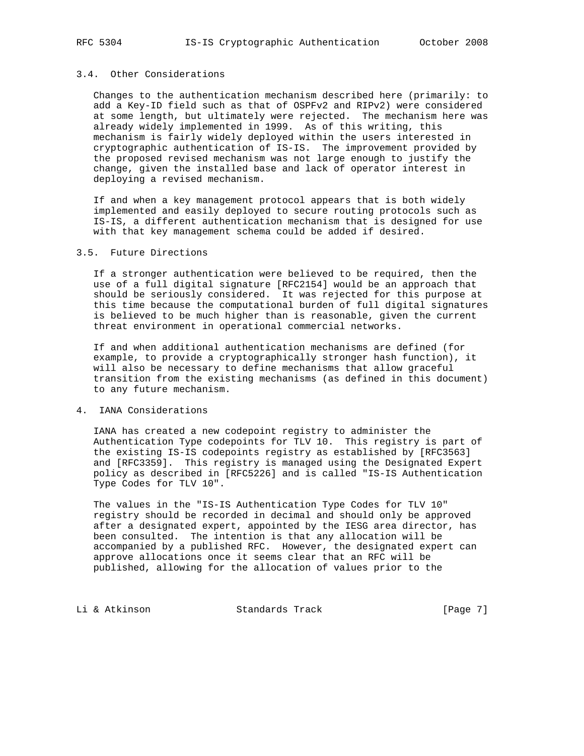## 3.4. Other Considerations

 Changes to the authentication mechanism described here (primarily: to add a Key-ID field such as that of OSPFv2 and RIPv2) were considered at some length, but ultimately were rejected. The mechanism here was already widely implemented in 1999. As of this writing, this mechanism is fairly widely deployed within the users interested in cryptographic authentication of IS-IS. The improvement provided by the proposed revised mechanism was not large enough to justify the change, given the installed base and lack of operator interest in deploying a revised mechanism.

 If and when a key management protocol appears that is both widely implemented and easily deployed to secure routing protocols such as IS-IS, a different authentication mechanism that is designed for use with that key management schema could be added if desired.

## 3.5. Future Directions

 If a stronger authentication were believed to be required, then the use of a full digital signature [RFC2154] would be an approach that should be seriously considered. It was rejected for this purpose at this time because the computational burden of full digital signatures is believed to be much higher than is reasonable, given the current threat environment in operational commercial networks.

 If and when additional authentication mechanisms are defined (for example, to provide a cryptographically stronger hash function), it will also be necessary to define mechanisms that allow graceful transition from the existing mechanisms (as defined in this document) to any future mechanism.

#### 4. IANA Considerations

 IANA has created a new codepoint registry to administer the Authentication Type codepoints for TLV 10. This registry is part of the existing IS-IS codepoints registry as established by [RFC3563] and [RFC3359]. This registry is managed using the Designated Expert policy as described in [RFC5226] and is called "IS-IS Authentication Type Codes for TLV 10".

 The values in the "IS-IS Authentication Type Codes for TLV 10" registry should be recorded in decimal and should only be approved after a designated expert, appointed by the IESG area director, has been consulted. The intention is that any allocation will be accompanied by a published RFC. However, the designated expert can approve allocations once it seems clear that an RFC will be published, allowing for the allocation of values prior to the

Li & Atkinson Standards Track [Page 7]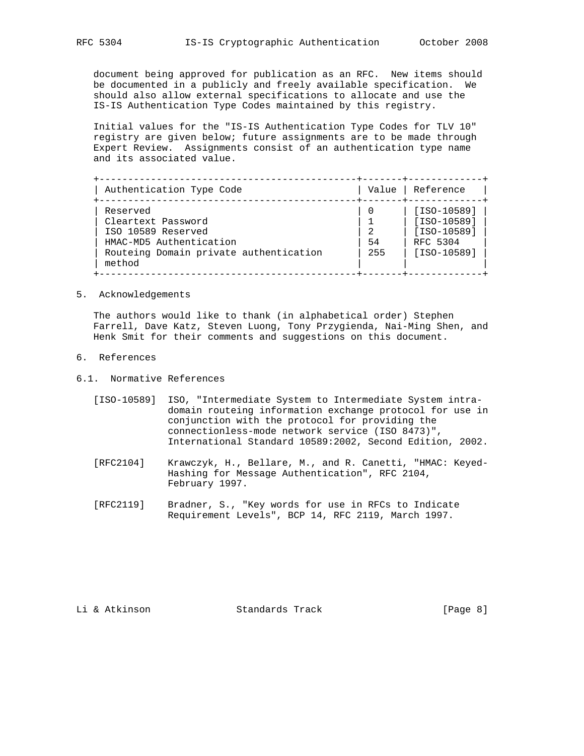document being approved for publication as an RFC. New items should be documented in a publicly and freely available specification. We should also allow external specifications to allocate and use the IS-IS Authentication Type Codes maintained by this registry.

 Initial values for the "IS-IS Authentication Type Codes for TLV 10" registry are given below; future assignments are to be made through Expert Review. Assignments consist of an authentication type name and its associated value.

| Authentication Type Code                         | Value | Reference     |
|--------------------------------------------------|-------|---------------|
| Reserved                                         |       | $[ISO-10589]$ |
| Cleartext Password                               |       | [ISO-10589]   |
| ISO 10589 Reserved                               |       | [ISO-10589]   |
| HMAC-MD5 Authentication                          | 54    | RFC 5304      |
| Routeing Domain private authentication<br>method | 255   | $[ISO-10589]$ |

#### 5. Acknowledgements

 The authors would like to thank (in alphabetical order) Stephen Farrell, Dave Katz, Steven Luong, Tony Przygienda, Nai-Ming Shen, and Henk Smit for their comments and suggestions on this document.

- 6. References
- 6.1. Normative References
	- [ISO-10589] ISO, "Intermediate System to Intermediate System intra domain routeing information exchange protocol for use in conjunction with the protocol for providing the connectionless-mode network service (ISO 8473)", International Standard 10589:2002, Second Edition, 2002.
	- [RFC2104] Krawczyk, H., Bellare, M., and R. Canetti, "HMAC: Keyed- Hashing for Message Authentication", RFC 2104, February 1997.
	- [RFC2119] Bradner, S., "Key words for use in RFCs to Indicate Requirement Levels", BCP 14, RFC 2119, March 1997.

Li & Atkinson Standards Track [Page 8]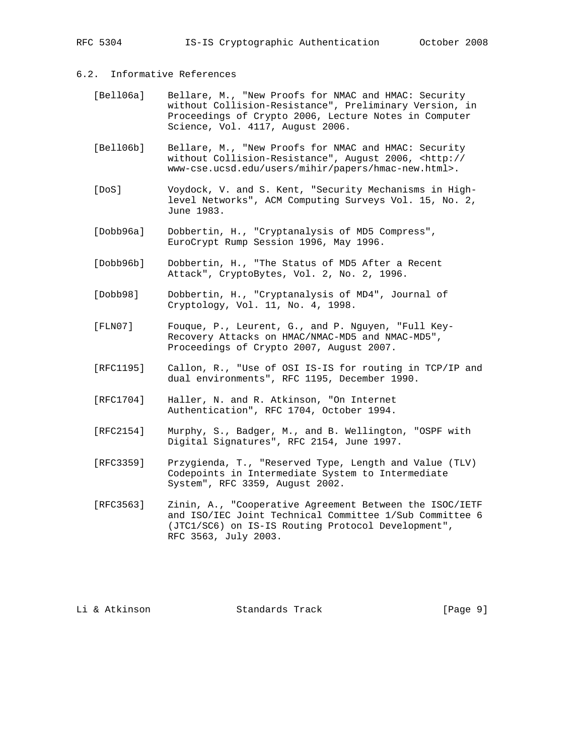RFC 5304 IS-IS Cryptographic Authentication October 2008

# 6.2. Informative References

- [Bell06a] Bellare, M., "New Proofs for NMAC and HMAC: Security without Collision-Resistance", Preliminary Version, in Proceedings of Crypto 2006, Lecture Notes in Computer Science, Vol. 4117, August 2006.
- [Bell06b] Bellare, M., "New Proofs for NMAC and HMAC: Security without Collision-Resistance", August 2006, <http:// www-cse.ucsd.edu/users/mihir/papers/hmac-new.html>.
- [DoS] Voydock, V. and S. Kent, "Security Mechanisms in High level Networks", ACM Computing Surveys Vol. 15, No. 2, June 1983.
- [Dobb96a] Dobbertin, H., "Cryptanalysis of MD5 Compress", EuroCrypt Rump Session 1996, May 1996.
- [Dobb96b] Dobbertin, H., "The Status of MD5 After a Recent Attack", CryptoBytes, Vol. 2, No. 2, 1996.
- [Dobb98] Dobbertin, H., "Cryptanalysis of MD4", Journal of Cryptology, Vol. 11, No. 4, 1998.
- [FLN07] Fouque, P., Leurent, G., and P. Nguyen, "Full Key- Recovery Attacks on HMAC/NMAC-MD5 and NMAC-MD5", Proceedings of Crypto 2007, August 2007.
- [RFC1195] Callon, R., "Use of OSI IS-IS for routing in TCP/IP and dual environments", RFC 1195, December 1990.
- [RFC1704] Haller, N. and R. Atkinson, "On Internet Authentication", RFC 1704, October 1994.
- [RFC2154] Murphy, S., Badger, M., and B. Wellington, "OSPF with Digital Signatures", RFC 2154, June 1997.
- [RFC3359] Przygienda, T., "Reserved Type, Length and Value (TLV) Codepoints in Intermediate System to Intermediate System", RFC 3359, August 2002.
- [RFC3563] Zinin, A., "Cooperative Agreement Between the ISOC/IETF and ISO/IEC Joint Technical Committee 1/Sub Committee 6 (JTC1/SC6) on IS-IS Routing Protocol Development", RFC 3563, July 2003.

Li & Atkinson Standards Track [Page 9]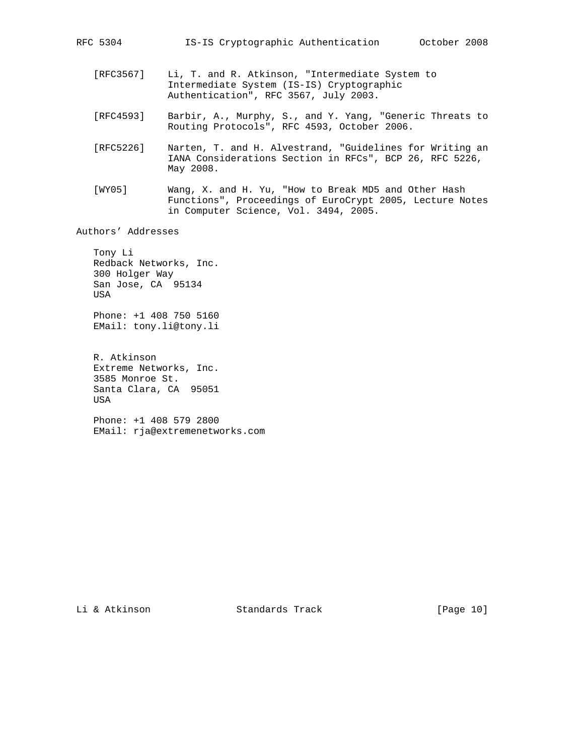- [RFC3567] Li, T. and R. Atkinson, "Intermediate System to Intermediate System (IS-IS) Cryptographic Authentication", RFC 3567, July 2003.
- [RFC4593] Barbir, A., Murphy, S., and Y. Yang, "Generic Threats to Routing Protocols", RFC 4593, October 2006.
- [RFC5226] Narten, T. and H. Alvestrand, "Guidelines for Writing an IANA Considerations Section in RFCs", BCP 26, RFC 5226, May 2008.
- [WY05] Wang, X. and H. Yu, "How to Break MD5 and Other Hash Functions", Proceedings of EuroCrypt 2005, Lecture Notes in Computer Science, Vol. 3494, 2005.

Authors' Addresses

 Tony Li Redback Networks, Inc. 300 Holger Way San Jose, CA 95134 USA

 Phone: +1 408 750 5160 EMail: tony.li@tony.li

 R. Atkinson Extreme Networks, Inc. 3585 Monroe St. Santa Clara, CA 95051 USA

 Phone: +1 408 579 2800 EMail: rja@extremenetworks.com

Li & Atkinson Standards Track [Page 10]